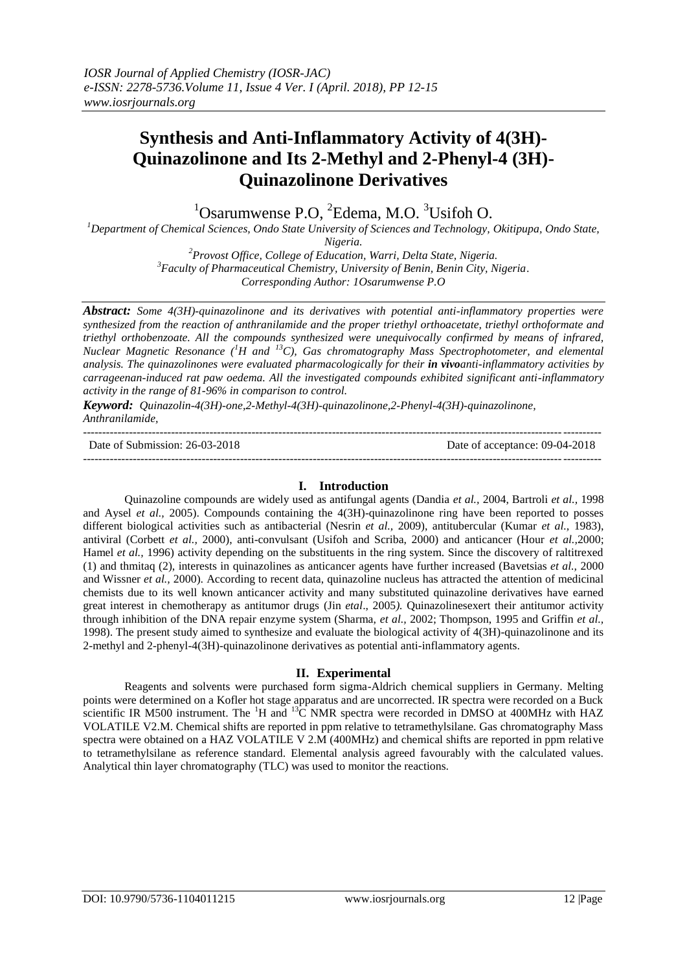# **Synthesis and Anti-Inflammatory Activity of 4(3H)- Quinazolinone and Its 2-Methyl and 2-Phenyl-4 (3H)- Quinazolinone Derivatives**

 $1$ Osarumwense P.O,  $2$ Edema, M.O.  $3$ Usifoh O.

*<sup>1</sup>Department of Chemical Sciences, Ondo State University of Sciences and Technology, Okitipupa, Ondo State, Nigeria.*

*<sup>2</sup>Provost Office, College of Education, Warri, Delta State, Nigeria. 3 Faculty of Pharmaceutical Chemistry, University of Benin, Benin City, Nigeria*.

*Corresponding Author: 1Osarumwense P.O*

*Abstract: Some 4(3H)-quinazolinone and its derivatives with potential anti-inflammatory properties were synthesized from the reaction of anthranilamide and the proper triethyl orthoacetate, triethyl orthoformate and triethyl orthobenzoate. All the compounds synthesized were unequivocally confirmed by means of infrared, Nuclear Magnetic Resonance (<sup>1</sup>H and <sup>13</sup>C), Gas chromatography Mass Spectrophotometer, and elemental analysis. The quinazolinones were evaluated pharmacologically for their in vivoanti-inflammatory activities by carrageenan-induced rat paw oedema. All the investigated compounds exhibited significant anti-inflammatory activity in the range of 81-96% in comparison to control.*

*Keyword: Quinazolin-4(3H)-one,2-Methyl-4(3H)-quinazolinone,2-Phenyl-4(3H)-quinazolinone, Anthranilamide,* ---------------------------------------------------------------------------------------------------------------------------------------

Date of Submission: 26-03-2018 Date of acceptance: 09-04-2018

## **I. Introduction**

---------------------------------------------------------------------------------------------------------------------------------------

Quinazoline compounds are widely used as antifungal agents (Dandia *et al.,* 2004, Bartroli *et al.,* 1998 and Aysel *et al.,* 2005). Compounds containing the 4(3H)-quinazolinone ring have been reported to posses different biological activities such as antibacterial (Nesrin *et al.,* 2009), antitubercular (Kumar *et al.,* 1983), antiviral (Corbett *et al.,* 2000), anti-convulsant (Usifoh and Scriba, 2000) and anticancer (Hour *et al.,*2000; Hamel *et al.*, 1996) activity depending on the substituents in the ring system. Since the discovery of raltitrexed (1) and thmitaq (2), interests in quinazolines as anticancer agents have further increased (Bavetsias *et al.,* 2000 and Wissner *et al.,* 2000). According to recent data, quinazoline nucleus has attracted the attention of medicinal chemists due to its well known anticancer activity and many substituted quinazoline derivatives have earned great interest in chemotherapy as antitumor drugs (Jin *etal*., 2005*).* Quinazolinesexert their antitumor activity through inhibition of the DNA repair enzyme system (Sharma, *et al.,* 2002; Thompson, 1995 and Griffin *et al.,*  1998). The present study aimed to synthesize and evaluate the biological activity of 4(3H)-quinazolinone and its 2-methyl and 2-phenyl-4(3H)-quinazolinone derivatives as potential anti-inflammatory agents.

## **II. Experimental**

Reagents and solvents were purchased form sigma-Aldrich chemical suppliers in Germany. Melting points were determined on a Kofler hot stage apparatus and are uncorrected. IR spectra were recorded on a Buck scientific IR M500 instrument. The  ${}^{1}H$  and  ${}^{13}C$  NMR spectra were recorded in DMSO at 400MHz with HAZ VOLATILE V2.M. Chemical shifts are reported in ppm relative to tetramethylsilane. Gas chromatography Mass spectra were obtained on a HAZ VOLATILE V 2.M (400MHz) and chemical shifts are reported in ppm relative to tetramethylsilane as reference standard. Elemental analysis agreed favourably with the calculated values. Analytical thin layer chromatography (TLC) was used to monitor the reactions.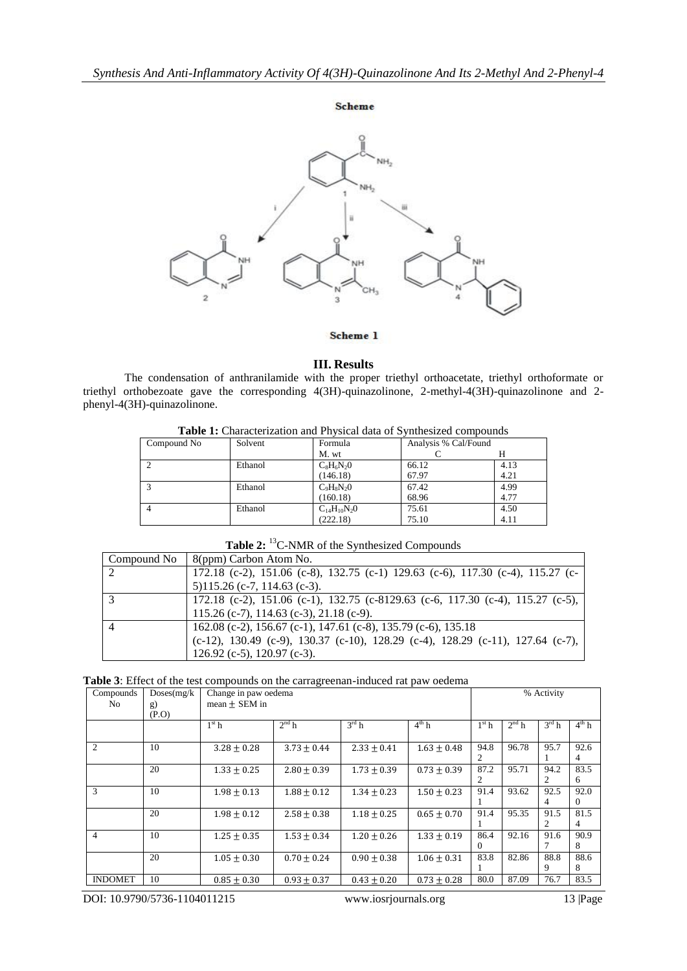

## Scheme 1

#### **III. Results**

The condensation of anthranilamide with the proper triethyl orthoacetate, triethyl orthoformate or triethyl orthobezoate gave the corresponding 4(3H)-quinazolinone, 2-methyl-4(3H)-quinazolinone and 2 phenyl-4(3H)-quinazolinone.

| Table T. Characterization and I fivsion data of B vinnesized compounds |         |                    |                      |      |  |  |  |  |
|------------------------------------------------------------------------|---------|--------------------|----------------------|------|--|--|--|--|
| Compound No                                                            | Solvent | Formula            | Analysis % Cal/Found |      |  |  |  |  |
|                                                                        |         | M. wt              |                      |      |  |  |  |  |
|                                                                        | Ethanol | $C_8H_6N_2O$       | 66.12                | 4.13 |  |  |  |  |
|                                                                        |         | (146.18)           | 67.97                | 4.21 |  |  |  |  |
|                                                                        | Ethanol | $C_9H_8N_2O$       | 67.42                | 4.99 |  |  |  |  |
|                                                                        |         | (160.18)           | 68.96                | 4.77 |  |  |  |  |
|                                                                        | Ethanol | $C_{14}H_{10}N_2O$ | 75.61                | 4.50 |  |  |  |  |
|                                                                        |         | (222.18)           | 75.10                | 4.11 |  |  |  |  |

**Table 1:** Characterization and Physical data of Synthesized compounds

| Compound No | $\mid$ 8(ppm) Carbon Atom No.                                                                     |
|-------------|---------------------------------------------------------------------------------------------------|
| -2          | 172.18 (c-2), 151.06 (c-8), 132.75 (c-1) 129.63 (c-6), 117.30 (c-4), 115.27 (c-                   |
|             | $5)115.26$ (c-7, 114.63 (c-3).                                                                    |
| . 3         | 172.18 (c-2), 151.06 (c-1), 132.75 (c-8129.63 (c-6, 117.30 (c-4), 115.27 (c-5),                   |
|             | 115.26 (c-7), 114.63 (c-3), 21.18 (c-9).                                                          |
|             | 162.08 (c-2), 156.67 (c-1), 147.61 (c-8), 135.79 (c-6), 135.18                                    |
|             | $(c-12)$ , 130.49 $(c-9)$ , 130.37 $(c-10)$ , 128.29 $(c-4)$ , 128.29 $(c-11)$ , 127.64 $(c-7)$ , |
|             | 126.92 (c-5), 120.97 (c-3).                                                                       |

**Table 2:** <sup>13</sup>C-NMR of the Synthesized Compounds

**Table 3**: Effect of the test compounds on the carragreenan-induced rat paw oedema

| Compounds                   | Doses(mg/k) | on are carragreeman modeco rac part occident<br>Change in paw oedema |                   |                 |                   |         | % Activity |                |            |  |
|-----------------------------|-------------|----------------------------------------------------------------------|-------------------|-----------------|-------------------|---------|------------|----------------|------------|--|
| No.                         | g)          | mean $\pm$ SEM in                                                    |                   |                 |                   |         |            |                |            |  |
|                             | (P.O)       |                                                                      |                   |                 |                   |         |            |                |            |  |
|                             |             | $1st$ h                                                              | 2 <sup>nd</sup> h | $3^{\rm rd}$ h  | $4^{\text{th}}$ h | $1st$ h | $2nd$ h    | $3^{\rm rd}$ h | $4^{th}$ h |  |
|                             |             |                                                                      |                   |                 |                   |         |            |                |            |  |
| $\mathcal{D}_{\mathcal{L}}$ | 10          | $3.28 \pm 0.28$                                                      | $3.73 \pm 0.44$   | $2.33 \pm 0.41$ | $1.63 \pm 0.48$   | 94.8    | 96.78      | 95.7           | 92.6       |  |
|                             |             |                                                                      |                   |                 |                   | 2       |            |                | 4          |  |
|                             | 20          | $1.33 + 0.25$                                                        | $2.80 + 0.39$     | $1.73 \pm 0.39$ | $0.73 + 0.39$     | 87.2    | 95.71      | 94.2           | 83.5       |  |
|                             |             |                                                                      |                   |                 |                   | 2       |            | 2              | 6          |  |
| 3                           | 10          | $1.98 + 0.13$                                                        | $1.88 + 0.12$     | $1.34 + 0.23$   | $1.50 \pm 0.23$   | 91.4    | 93.62      | 92.5           | 92.0       |  |
|                             |             |                                                                      |                   |                 |                   |         |            | 4              | 0          |  |
|                             | 20          | $1.98 + 0.12$                                                        | $2.58 \pm 0.38$   | $1.18 + 0.25$   | $0.65 \pm 0.70$   | 91.4    | 95.35      | 91.5           | 81.5       |  |
|                             |             |                                                                      |                   |                 |                   |         |            | 2              | 4          |  |
| $\overline{4}$              | 10          | $1.25 + 0.35$                                                        | $1.53 + 0.34$     | $1.20 + 0.26$   | $1.33 + 0.19$     | 86.4    | 92.16      | 91.6           | 90.9       |  |
|                             |             |                                                                      |                   |                 |                   | 0       |            |                | 8          |  |
|                             | 20          | $1.05 \pm 0.30$                                                      | $0.70 \pm 0.24$   | $0.90 + 0.38$   | $1.06 \pm 0.31$   | 83.8    | 82.86      | 88.8           | 88.6       |  |
|                             |             |                                                                      |                   |                 |                   |         |            | 9              | 8          |  |
| <b>INDOMET</b>              | 10          | $0.85 + 0.30$                                                        | $0.93 + 0.37$     | $0.43 + 0.20$   | $0.73 + 0.28$     | 80.0    | 87.09      | 76.7           | 83.5       |  |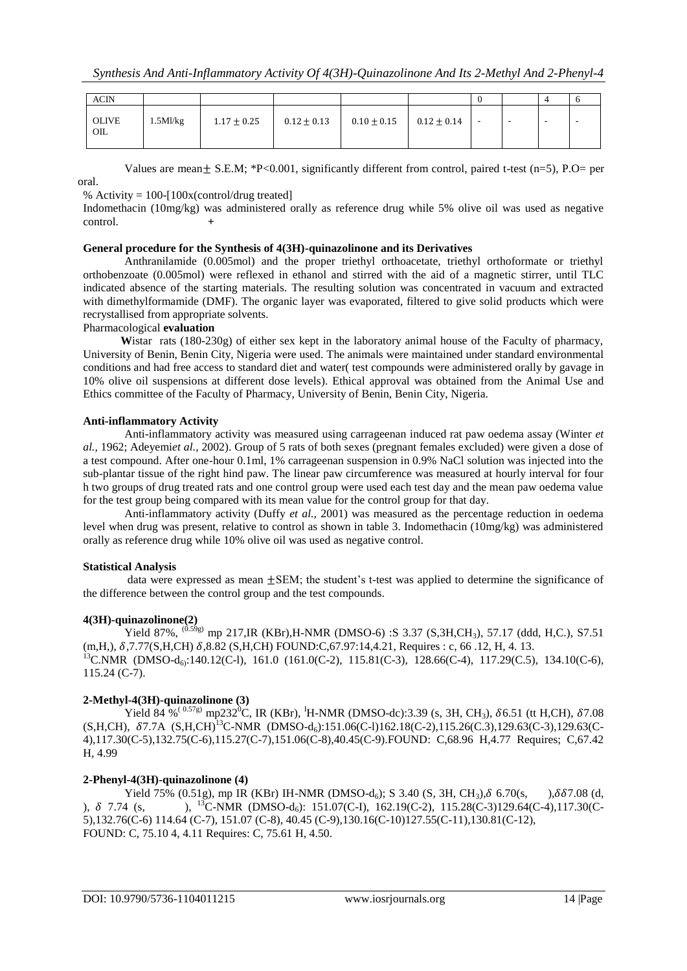| <b>ACIN</b>                    |             |                 |                 |                 |               |  |                          |  |
|--------------------------------|-------------|-----------------|-----------------|-----------------|---------------|--|--------------------------|--|
| <b>OLIVE</b><br>$_{\text{OL}}$ | $1.5$ Ml/kg | $1.17 \pm 0.25$ | $0.12 \pm 0.13$ | $0.10 \pm 0.15$ | $0.12\pm0.14$ |  | $\overline{\phantom{a}}$ |  |

Values are mean + S.E.M;  $*P<0.001$ , significantly different from control, paired t-test (n=5), P.O= per

oral.

% Activity =  $100-[100x(control/drug treated)]$ 

Indomethacin (10mg/kg) was administered orally as reference drug while 5% olive oil was used as negative control. **+**

## **General procedure for the Synthesis of 4(3H)-quinazolinone and its Derivatives**

Anthranilamide (0.005mol) and the proper triethyl orthoacetate, triethyl orthoformate or triethyl orthobenzoate (0.005mol) were reflexed in ethanol and stirred with the aid of a magnetic stirrer, until TLC indicated absence of the starting materials. The resulting solution was concentrated in vacuum and extracted with dimethylformamide (DMF). The organic layer was evaporated, filtered to give solid products which were recrystallised from appropriate solvents.

# Pharmacological **evaluation**

 **W**istar rats (180-230g) of either sex kept in the laboratory animal house of the Faculty of pharmacy, University of Benin, Benin City, Nigeria were used. The animals were maintained under standard environmental conditions and had free access to standard diet and water( test compounds were administered orally by gavage in 10% olive oil suspensions at different dose levels). Ethical approval was obtained from the Animal Use and Ethics committee of the Faculty of Pharmacy, University of Benin, Benin City, Nigeria.

## **Anti-inflammatory Activity**

Anti-inflammatory activity was measured using carrageenan induced rat paw oedema assay (Winter *et al.,* 1962; Adeyemi*et al.,* 2002). Group of 5 rats of both sexes (pregnant females excluded) were given a dose of a test compound. After one-hour 0.1ml, 1% carrageenan suspension in 0.9% NaCl solution was injected into the sub-plantar tissue of the right hind paw. The linear paw circumference was measured at hourly interval for four h two groups of drug treated rats and one control group were used each test day and the mean paw oedema value for the test group being compared with its mean value for the control group for that day.

Anti-inflammatory activity (Duffy *et al.,* 2001) was measured as the percentage reduction in oedema level when drug was present, relative to control as shown in table 3. Indomethacin (10mg/kg) was administered orally as reference drug while 10% olive oil was used as negative control.

# **Statistical Analysis**

data were expressed as mean ±SEM; the student's t-test was applied to determine the significance of the difference between the control group and the test compounds.

## **4(3H)-quinazolinone(2)**

Yield 87%,  $^{(0.59g)}$  mp 217,IR (KBr),H-NMR (DMSO-6) :S 3.37 (S,3H,CH<sub>3</sub>), 57.17 (ddd, H,C.), S7.51  $(m,H,), \delta, 7.77(S,H,CH) \delta, 8.82 (S,H,CH) \text{ FOUND:C}, 67.97:14, 4.21, \text{ Requirements:c}, 66.12, H, 4.13.$ <sup>13</sup>C.NMR (DMSO-d<sub>6</sub>):140.12(C-l), 161.0 (161.0(C-2), 115.81(C-3), 128.66(C-4), 117.29(C.5), 134.10(C-6), 115.24 (C-7).

# **2-Methyl-4(3H)-quinazolinone (3)**

Yield 84 %<sup>(0.57g)</sup> mp232<sup>0</sup>C, IR (KBr), <sup>I</sup>H-NMR (DMSO-dc):3.39 (s, 3H, CH<sub>3</sub>),  $\delta$ 6.51 (tt H,CH),  $\delta$ 7.08  $(S,H,CH)$ ,  $\delta$ 7.7A  $(S,H,CH)^{13}$ C-NMR (DMSO-d<sub>6</sub>):151.06(C-l)162.18(C-2),115.26(C.3),129.63(C-3),129.63(C-4),117.30(C-5),132.75(C-6),115.27(C-7),151.06(C-8),40.45(C-9).FOUND: C,68.96 H,4.77 Requires; C,67.42 H, 4.99

# **2-Phenyl-4(3H)-quinazolinone (4)**

Yield 75% (0.51g), mp IR (KBr) IH-NMR (DMSO-d<sub>6</sub>); S 3.40 (S, 3H, CH<sub>3</sub>),  $\delta$  6.70(s, ), $\delta$  $\delta$ 7.08 (d, ),  $\delta$  7.74 (s, ),  $^{13}$ C-NMR (DMSO-d<sub>6</sub>): 151.07(C-I), 162.19(C-2), 115.28(C-3)129.64(C-4),117.30(C-5),132.76(C-6) 114.64 (C-7), 151.07 (C-8), 40.45 (C-9),130.16(C-10)127.55(C-11),130.81(C-12), FOUND: C, 75.10 4, 4.11 Requires: C, 75.61 H, 4.50.